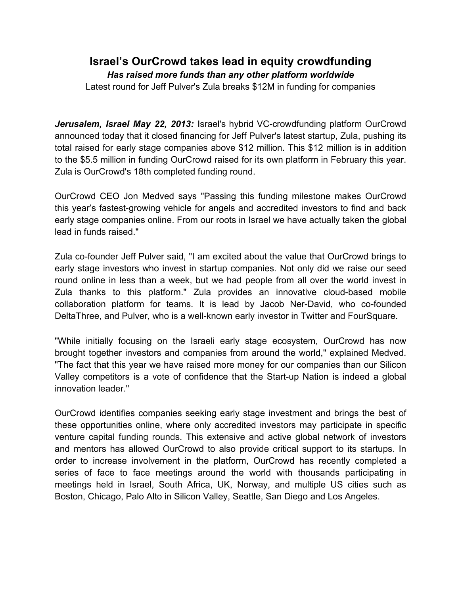## **Israel's OurCrowd takes lead in equity crowdfunding** *Has raised more funds than any other platform worldwide* Latest round for Jeff Pulver's Zula breaks \$12M in funding for companies

*Jerusalem, Israel May 22, 2013:* Israel's hybrid VC-crowdfunding platform OurCrowd announced today that it closed financing for Jeff Pulver's latest startup, Zula, pushing its total raised for early stage companies above \$12 million. This \$12 million is in addition to the \$5.5 million in funding OurCrowd raised for its own platform in February this year. Zula is OurCrowd's 18th completed funding round.

OurCrowd CEO Jon Medved says "Passing this funding milestone makes OurCrowd this year's fastest-growing vehicle for angels and accredited investors to find and back early stage companies online. From our roots in Israel we have actually taken the global lead in funds raised."

Zula co-founder Jeff Pulver said, "I am excited about the value that OurCrowd brings to early stage investors who invest in startup companies. Not only did we raise our seed round online in less than a week, but we had people from all over the world invest in Zula thanks to this platform." Zula provides an innovative cloud-based mobile collaboration platform for teams. It is lead by Jacob Ner-David, who co-founded DeltaThree, and Pulver, who is a well-known early investor in Twitter and FourSquare.

"While initially focusing on the Israeli early stage ecosystem, OurCrowd has now brought together investors and companies from around the world," explained Medved. "The fact that this year we have raised more money for our companies than our Silicon Valley competitors is a vote of confidence that the Start-up Nation is indeed a global innovation leader."

OurCrowd identifies companies seeking early stage investment and brings the best of these opportunities online, where only accredited investors may participate in specific venture capital funding rounds. This extensive and active global network of investors and mentors has allowed OurCrowd to also provide critical support to its startups. In order to increase involvement in the platform, OurCrowd has recently completed a series of face to face meetings around the world with thousands participating in meetings held in Israel, South Africa, UK, Norway, and multiple US cities such as Boston, Chicago, Palo Alto in Silicon Valley, Seattle, San Diego and Los Angeles.